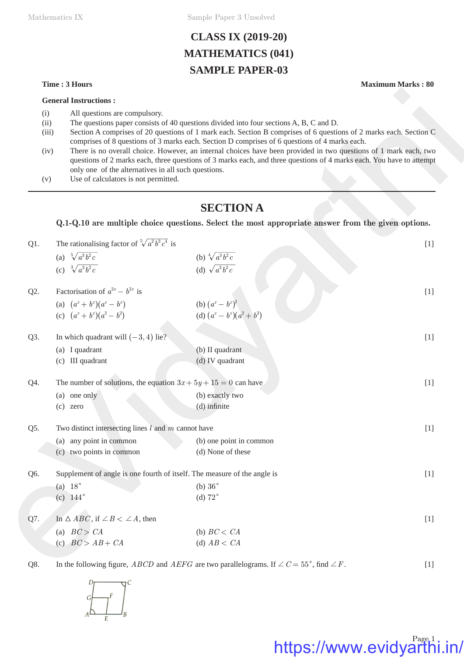Mathematics IX Sample Paper 3 Unsolved

## **CLASS IX (2019-20) MATHEMATICS (041) SAMPLE PAPER-03**

- (i) All questions are compulsory.
- (ii) The questions paper consists of 40 questions divided into four sections A, B, C and D.
- (iii) Section A comprises of 20 questions of 1 mark each. Section B comprises of 6 questions of 2 marks each. Section C comprises of 8 questions of 3 marks each. Section D comprises of 6 questions of 4 marks each.
- (iv) There is no overall choice. However, an internal choices have been provided in two questions of 1 mark each, two questions of 2 marks each, three questions of 3 marks each, and three questions of 4 marks each. You have to attempt only one of the alternatives in all such questions.
- (v) Use of calculators is not permitted.

### **SECTION A**

|                                     | <b>General Instructions:</b>                                                                                                 |                                                                                                                                                                                                                                                                                                                                                                                                                                                                                                                                                          |       |
|-------------------------------------|------------------------------------------------------------------------------------------------------------------------------|----------------------------------------------------------------------------------------------------------------------------------------------------------------------------------------------------------------------------------------------------------------------------------------------------------------------------------------------------------------------------------------------------------------------------------------------------------------------------------------------------------------------------------------------------------|-------|
| (i)<br>(ii)<br>(iii)<br>(iv)<br>(v) | All questions are compulsory.<br>only one of the alternatives in all such questions.<br>Use of calculators is not permitted. | The questions paper consists of 40 questions divided into four sections A, B, C and D.<br>Section A comprises of 20 questions of 1 mark each. Section B comprises of 6 questions of 2 marks each. Section C<br>comprises of 8 questions of 3 marks each. Section D comprises of 6 questions of 4 marks each.<br>There is no overall choice. However, an internal choices have been provided in two questions of 1 mark each, two<br>questions of 2 marks each, three questions of 3 marks each, and three questions of 4 marks each. You have to attempt |       |
|                                     |                                                                                                                              | <b>SECTION A</b>                                                                                                                                                                                                                                                                                                                                                                                                                                                                                                                                         |       |
|                                     |                                                                                                                              | Q.1-Q.10 are multiple choice questions. Select the most appropriate answer from the given options.                                                                                                                                                                                                                                                                                                                                                                                                                                                       |       |
| $Q1$ .                              | The rationalising factor of $\sqrt[5]{a^2b^3c^4}$ is                                                                         |                                                                                                                                                                                                                                                                                                                                                                                                                                                                                                                                                          | $[1]$ |
|                                     | (a) $\sqrt[5]{a^3b^2c}$                                                                                                      | (b) $\sqrt[4]{a^3b^2c}$                                                                                                                                                                                                                                                                                                                                                                                                                                                                                                                                  |       |
|                                     | (c) $\sqrt[3]{a^3b^2c}$                                                                                                      | (d) $\sqrt{a^3b^2c}$                                                                                                                                                                                                                                                                                                                                                                                                                                                                                                                                     |       |
| Q2.                                 | Factorisation of $a^{2x} - b^{2x}$ is                                                                                        |                                                                                                                                                                                                                                                                                                                                                                                                                                                                                                                                                          | $[1]$ |
|                                     | (a) $(a^x + b^x)(a^x - b^x)$                                                                                                 | (b) $(a^x - b^x)^2$<br>(d) $(a^x - b^x)(a^2 + b^2)$                                                                                                                                                                                                                                                                                                                                                                                                                                                                                                      |       |
|                                     | (c) $(a^x + b^x)(a^2 - b^2)$                                                                                                 |                                                                                                                                                                                                                                                                                                                                                                                                                                                                                                                                                          |       |
| Q3.                                 | In which quadrant will $(-3, 4)$ lie?                                                                                        |                                                                                                                                                                                                                                                                                                                                                                                                                                                                                                                                                          | $[1]$ |
|                                     | (a) I quadrant                                                                                                               | (b) II quadrant                                                                                                                                                                                                                                                                                                                                                                                                                                                                                                                                          |       |
|                                     | (c) III quadrant                                                                                                             | (d) IV quadrant                                                                                                                                                                                                                                                                                                                                                                                                                                                                                                                                          |       |
| Q4.                                 | The number of solutions, the equation $3x + 5y + 15 = 0$ can have                                                            |                                                                                                                                                                                                                                                                                                                                                                                                                                                                                                                                                          | $[1]$ |
|                                     | (a) one only                                                                                                                 | (b) exactly two                                                                                                                                                                                                                                                                                                                                                                                                                                                                                                                                          |       |
|                                     | $(c)$ zero                                                                                                                   | (d) infinite                                                                                                                                                                                                                                                                                                                                                                                                                                                                                                                                             |       |
| Q5.                                 | Two distinct intersecting lines $l$ and $m$ cannot have                                                                      |                                                                                                                                                                                                                                                                                                                                                                                                                                                                                                                                                          | $[1]$ |
|                                     | (a) any point in common                                                                                                      | (b) one point in common                                                                                                                                                                                                                                                                                                                                                                                                                                                                                                                                  |       |
|                                     | (c) two points in common                                                                                                     | (d) None of these                                                                                                                                                                                                                                                                                                                                                                                                                                                                                                                                        |       |
| Q6.                                 |                                                                                                                              | Supplement of angle is one fourth of itself. The measure of the angle is                                                                                                                                                                                                                                                                                                                                                                                                                                                                                 | $[1]$ |
|                                     | (a) $18^\circ$                                                                                                               | (b) $36^\circ$                                                                                                                                                                                                                                                                                                                                                                                                                                                                                                                                           |       |
|                                     | (c) $144^{\circ}$                                                                                                            | (d) $72^\circ$                                                                                                                                                                                                                                                                                                                                                                                                                                                                                                                                           |       |
| Q7.                                 | In $\triangle ABC$ , if $\angle B < \angle A$ , then                                                                         |                                                                                                                                                                                                                                                                                                                                                                                                                                                                                                                                                          | $[1]$ |
|                                     | (a) $BC > CA$                                                                                                                | (b) $BC < CA$                                                                                                                                                                                                                                                                                                                                                                                                                                                                                                                                            |       |
|                                     | (c) $BC > AB + CA$                                                                                                           | (d) $AB < CA$                                                                                                                                                                                                                                                                                                                                                                                                                                                                                                                                            |       |
| Q8.                                 |                                                                                                                              | In the following figure, <i>ABCD</i> and <i>AEFG</i> are two parallelograms. If $\angle C = 55^{\circ}$ , find $\angle F$ .                                                                                                                                                                                                                                                                                                                                                                                                                              | $[1]$ |



# https://www.evidyarthi.in/

**Time : 3 Hours Maximum Marks : 80**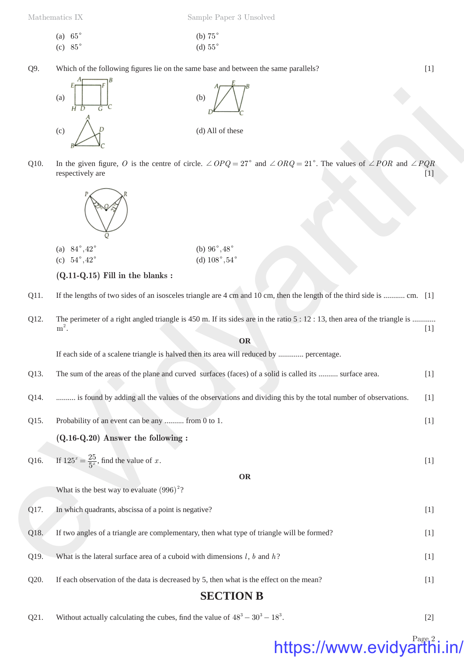(a) 
$$
65^{\circ}
$$
 (b)  $75^{\circ}$   
(c)  $85^{\circ}$  (d)  $55^{\circ}$ 

Q9. Which of the following figures lie on the same base and between the same parallels? [1]





| (a) $84^{\circ}, 42^{\circ}$ | (b) $96^{\circ}, 48^{\circ}$ |
|------------------------------|------------------------------|
| (c) $54^{\circ}, 42^{\circ}$ | (d) $108^\circ, 54$          |

|      | (a)<br>(b)<br>G<br>H D                                                                                                                        |                                                                                                                                                       |       |  |  |
|------|-----------------------------------------------------------------------------------------------------------------------------------------------|-------------------------------------------------------------------------------------------------------------------------------------------------------|-------|--|--|
|      | (c)                                                                                                                                           | (d) All of these                                                                                                                                      |       |  |  |
| Q10. | respectively are                                                                                                                              | In the given figure, O is the centre of circle. $\angle OPQ = 27^{\circ}$ and $\angle ORQ = 21^{\circ}$ . The values of $\angle POR$ and $\angle PQR$ | $[1]$ |  |  |
|      |                                                                                                                                               |                                                                                                                                                       |       |  |  |
|      | (a) $84^{\circ}, 42^{\circ}$<br>(b) $96^{\circ}, 48^{\circ}$                                                                                  |                                                                                                                                                       |       |  |  |
|      | (d) $108^{\circ}, 54^{\circ}$<br>(c) $54^{\circ}, 42^{\circ}$<br>$(Q.11-Q.15)$ Fill in the blanks:                                            |                                                                                                                                                       |       |  |  |
|      |                                                                                                                                               |                                                                                                                                                       |       |  |  |
| Q11. |                                                                                                                                               | If the lengths of two sides of an isosceles triangle are 4 cm and 10 cm, then the length of the third side is  cm. [1]                                |       |  |  |
| Q12. | The perimeter of a right angled triangle is 450 m. If its sides are in the ratio $5:12:13$ , then area of the triangle is<br>$m^2$ .<br>$[1]$ |                                                                                                                                                       |       |  |  |
|      |                                                                                                                                               | OR                                                                                                                                                    |       |  |  |
|      | If each side of a scalene triangle is halved then its area will reduced by  percentage.                                                       |                                                                                                                                                       |       |  |  |
| Q13. | The sum of the areas of the plane and curved surfaces (faces) of a solid is called its  surface area.<br>$[1]$                                |                                                                                                                                                       |       |  |  |
| Q14. | is found by adding all the values of the observations and dividing this by the total number of observations.                                  |                                                                                                                                                       |       |  |  |
| Q15. | Probability of an event can be any  from 0 to 1.<br>$[1]$                                                                                     |                                                                                                                                                       |       |  |  |
|      | $(Q.16-Q.20)$ Answer the following :                                                                                                          |                                                                                                                                                       |       |  |  |
| Q16. | If $125^x = \frac{25}{5^x}$ , find the value of x.                                                                                            |                                                                                                                                                       | $[1]$ |  |  |
|      |                                                                                                                                               | <b>OR</b>                                                                                                                                             |       |  |  |
|      | What is the best way to evaluate $(996)^2$ ?                                                                                                  |                                                                                                                                                       |       |  |  |
| Q17. | In which quadrants, abscissa of a point is negative?                                                                                          |                                                                                                                                                       | $[1]$ |  |  |
| Q18. | If two angles of a triangle are complementary, then what type of triangle will be formed?                                                     |                                                                                                                                                       | $[1]$ |  |  |
| Q19. | What is the lateral surface area of a cuboid with dimensions $l, b$ and $h$ ?                                                                 |                                                                                                                                                       | $[1]$ |  |  |
| Q20. | If each observation of the data is decreased by 5, then what is the effect on the mean?                                                       |                                                                                                                                                       | $[1]$ |  |  |
|      |                                                                                                                                               | <b>SECTION B</b>                                                                                                                                      |       |  |  |

Q21. Without actually calculating the cubes, find the value of  $48^3 - 30^3 - 18^3$ . [2]

# https://www.evidyarthi.in/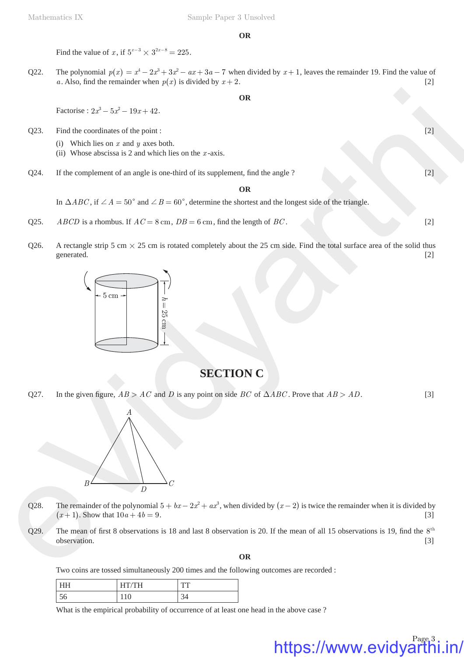#### **OR**

Find the value of *x*, if  $5^{x-3} \times 3^{2x-8} = 225$ .

Q22. The polynomial  $p(x) = x^4 - 2x^3 + 3x^2 - ax + 3a - 7$  when divided by  $x + 1$ , leaves the remainder 19. Find the value of *a*. Also, find the remainder when  $p(x)$  is divided by  $x + 2$ . [2]

**OR**

Factorise :  $2x^3 - 5x^2 - 19x + 42$ .

Q23. Find the coordinates of the point :  $[2]$ 

- (i) Which lies on *x* and *y* axes both.
- (ii) Whose abscissa is 2 and which lies on the *x* -axis.
- $Q24.$  If the complement of an angle is one-third of its supplement, find the angle ?  $[2]$

**OR**

In  $\triangle ABC$ , if  $\angle A = 50^{\circ}$  and  $\angle B = 60^{\circ}$ , determine the shortest and the longest side of the triangle.

- Q25. *ABCD* is a rhombus. If  $AC = 8$  cm,  $DB = 6$  cm, find the length of *BC*. [2]
- Q26. A rectangle strip 5 cm  $\times$  25 cm is rotated completely about the 25 cm side. Find the total surface area of the solid thus generated. [2]



### **SECTION C**

Q27. In the given figure,  $AB > AC$  and *D* is any point on side *BC* of  $\triangle ABC$ . Prove that  $AB > AD$ . [3]



- Q28. The remainder of the polynomial  $5 + bx 2x^2 + ax^3$ , when divided by  $(x 2)$  is twice the remainder when it is divided by  $(x + 1)$ . Show that  $10a + 4b = 9$ . [3]
- Q29. The mean of first 8 observations is 18 and last 8 observation is 20. If the mean of all 15 observations is 19, find the  $8<sup>th</sup>$ observation. [3]

**OR**

Two coins are tossed simultaneously 200 times and the following outcomes are recorded :

| ◡◡ | ∼ | ັ |
|----|---|---|

What is the empirical probability of occurrence of at least one head in the above case ?

https://www.evidyarthi.in/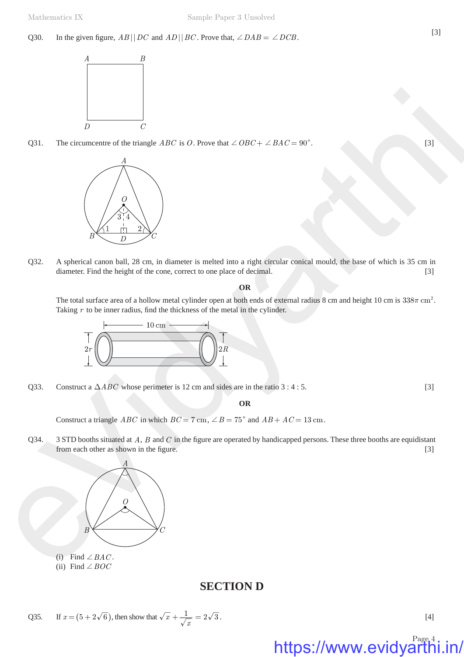Q30. In the given figure,  $AB \mid DCD$  and  $AD \mid BC$ . Prove that,  $\angle DAB = \angle DCB$ . [3]



Q31. The circumcentre of the triangle *ABC* is *O*. Prove that  $\angle OBC + \angle BAC = 90^{\circ}$ . [3]



Q32. A spherical canon ball, 28 cm, in diameter is melted into a right circular conical mould, the base of which is 35 cm in diameter. Find the height of the cone, correct to one place of decimal. [3]

#### **OR**

The total surface area of a hollow metal cylinder open at both ends of external radius 8 cm and height 10 cm is  $338\pi$  cm<sup>2</sup>. Taking  $r$  to be inner radius, find the thickness of the metal in the cylinder.



Q33. Construct a  $\triangle ABC$  whose perimeter is 12 cm and sides are in the ratio 3 : 4 : 5. [3]

#### **OR**

Construct a triangle *ABC* in which  $BC = 7$  cm,  $\angle B = 75^{\circ}$  and  $AB + AC = 13$  cm.

Q34. 3 STD booths situated at *A*, *B* and *C* in the figure are operated by handicapped persons. These three booths are equidistant from each other as shown in the figure.  $[3]$ 



- (i) Find  $\angle BAC$ .
- (ii) Find  $\angle BOC$

### **SECTION D**

Q35. If 
$$
x = (5 + 2\sqrt{6})
$$
, then show that  $\sqrt{x} + \frac{1}{\sqrt{x}} = 2\sqrt{3}$ . [4]

# https://www.evidyarthi.in/